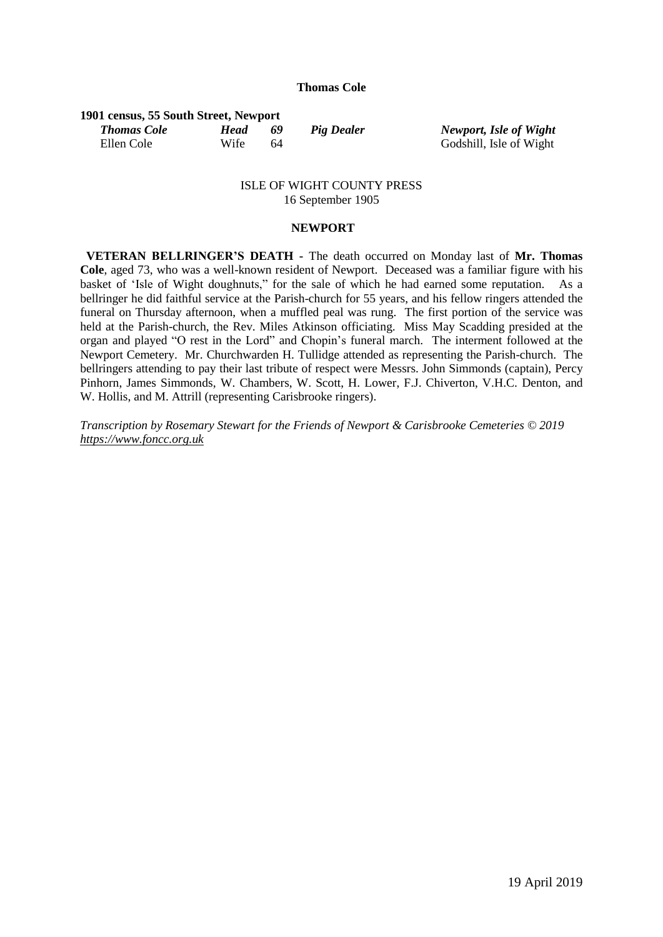## **Thomas Cole**

## **1901 census, 55 South Street, Newport**

Ellen Cole Wife 64 Godshill, Isle of Wight

*Thomas Cole Head 69 Pig Dealer Newport, Isle of Wight*

## ISLE OF WIGHT COUNTY PRESS 16 September 1905

## **NEWPORT**

 **VETERAN BELLRINGER'S DEATH -** The death occurred on Monday last of **Mr. Thomas Cole**, aged 73, who was a well-known resident of Newport. Deceased was a familiar figure with his basket of 'Isle of Wight doughnuts," for the sale of which he had earned some reputation. As a bellringer he did faithful service at the Parish-church for 55 years, and his fellow ringers attended the funeral on Thursday afternoon, when a muffled peal was rung. The first portion of the service was held at the Parish-church, the Rev. Miles Atkinson officiating. Miss May Scadding presided at the organ and played "O rest in the Lord" and Chopin's funeral march. The interment followed at the Newport Cemetery. Mr. Churchwarden H. Tullidge attended as representing the Parish-church. The bellringers attending to pay their last tribute of respect were Messrs. John Simmonds (captain), Percy Pinhorn, James Simmonds, W. Chambers, W. Scott, H. Lower, F.J. Chiverton, V.H.C. Denton, and W. Hollis, and M. Attrill (representing Carisbrooke ringers).

*Transcription by Rosemary Stewart for the Friends of Newport & Carisbrooke Cemeteries © 2019 [https://www.foncc.org.uk](https://www.foncc.org.uk/)*